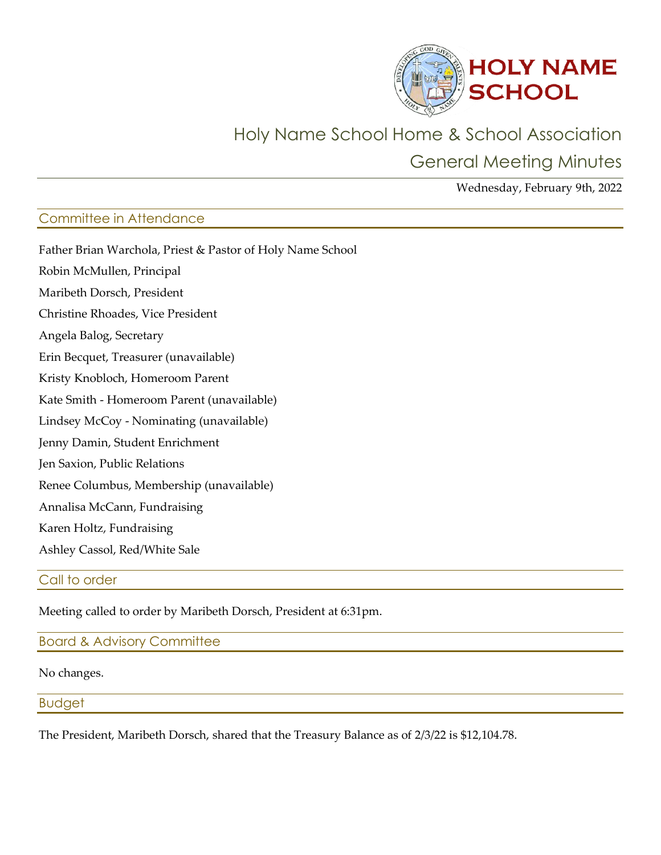

# Holy Name School Home & School Association

General Meeting Minutes

Wednesday, February 9th, 2022

# Committee in Attendance

| Father Brian Warchola, Priest & Pastor of Holy Name School |
|------------------------------------------------------------|
| Robin McMullen, Principal                                  |
| Maribeth Dorsch, President                                 |
| Christine Rhoades, Vice President                          |
| Angela Balog, Secretary                                    |
| Erin Becquet, Treasurer (unavailable)                      |
| Kristy Knobloch, Homeroom Parent                           |
| Kate Smith - Homeroom Parent (unavailable)                 |
| Lindsey McCoy - Nominating (unavailable)                   |
| Jenny Damin, Student Enrichment                            |
| Jen Saxion, Public Relations                               |
| Renee Columbus, Membership (unavailable)                   |
| Annalisa McCann, Fundraising                               |
| Karen Holtz, Fundraising                                   |
| Ashley Cassol, Red/White Sale                              |
|                                                            |

# Call to order

Meeting called to order by Maribeth Dorsch, President at 6:31pm.

# Board & Advisory Committee

#### No changes.

## Budget

The President, Maribeth Dorsch, shared that the Treasury Balance as of 2/3/22 is \$12,104.78.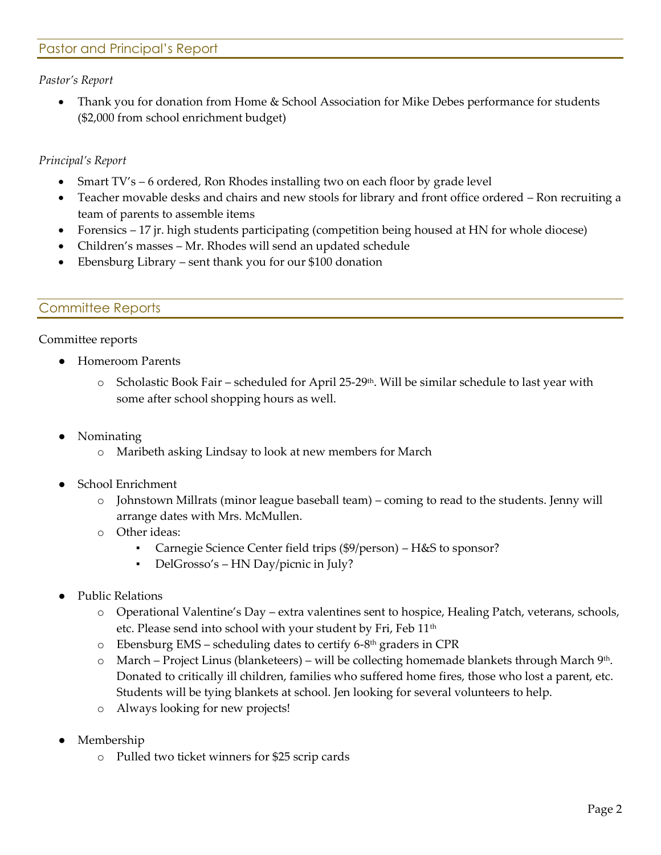# Pastor and Principal's Report

#### *Pastor's Report*

• Thank you for donation from Home & School Association for Mike Debes performance for students (\$2,000 from school enrichment budget)

### *Principal's Report*

- Smart TV's 6 ordered, Ron Rhodes installing two on each floor by grade level
- Teacher movable desks and chairs and new stools for library and front office ordered Ron recruiting a team of parents to assemble items
- Forensics 17 jr. high students participating (competition being housed at HN for whole diocese)
- Children's masses Mr. Rhodes will send an updated schedule
- Ebensburg Library sent thank you for our \$100 donation

## Committee Reports

#### Committee reports

- **Homeroom Parents** 
	- $\circ$  Scholastic Book Fair scheduled for April 25-29<sup>th</sup>. Will be similar schedule to last year with some after school shopping hours as well.
- **Nominating** 
	- o Maribeth asking Lindsay to look at new members for March
- **School Enrichment** 
	- o Johnstown Millrats (minor league baseball team) coming to read to the students. Jenny will arrange dates with Mrs. McMullen.
	- o Other ideas:
		- Carnegie Science Center field trips (\$9/person) H&S to sponsor?
		- DelGrosso's HN Day/picnic in July?
- Public Relations
	- o Operational Valentine's Day extra valentines sent to hospice, Healing Patch, veterans, schools, etc. Please send into school with your student by Fri, Feb 11<sup>th</sup>
	- o Ebensburg EMS scheduling dates to certify 6-8 th graders in CPR
	- $\circ$  March Project Linus (blanketeers) will be collecting homemade blankets through March 9<sup>th</sup>. Donated to critically ill children, families who suffered home fires, those who lost a parent, etc. Students will be tying blankets at school. Jen looking for several volunteers to help.
	- o Always looking for new projects!
- Membership
	- o Pulled two ticket winners for \$25 scrip cards